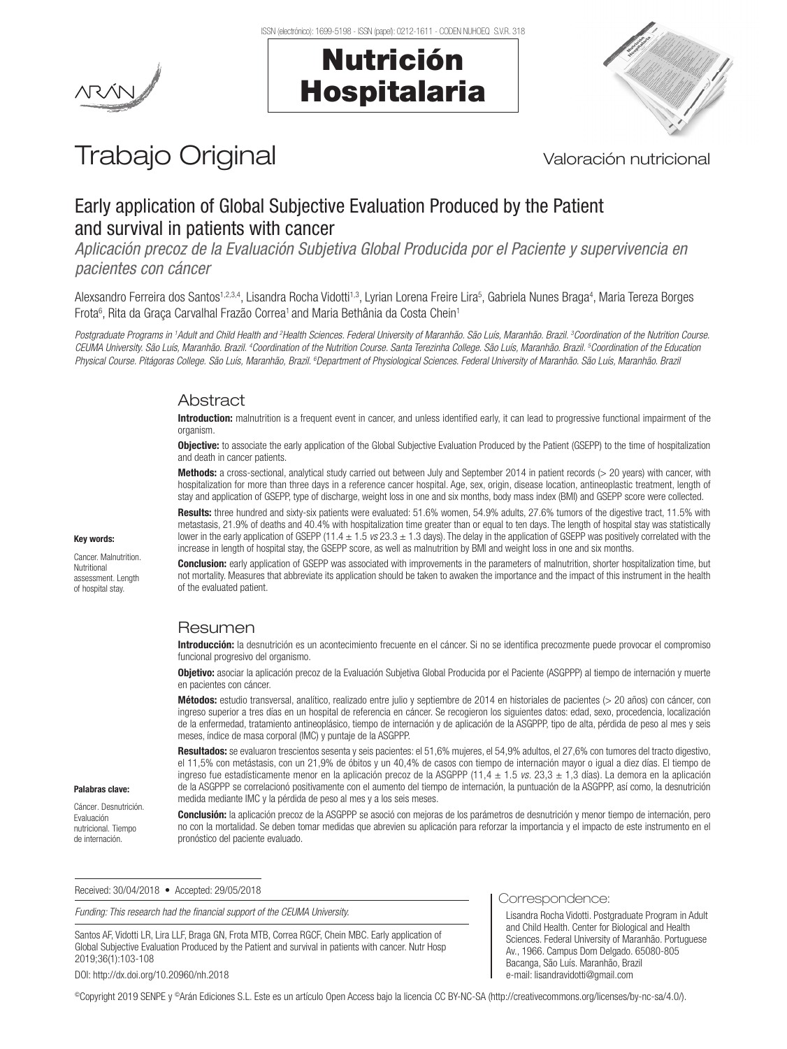



# Trabajo Original Valoración nutricional

# Early application of Global Subjective Evaluation Produced by the Patient and survival in patients with cancer

*Aplicación precoz de la Evaluación Subjetiva Global Producida por el Paciente y supervivencia en pacientes con cáncer*

Alexsandro Ferreira dos Santos<sup>1,2,3,4</sup>, Lisandra Rocha Vidotti<sup>1,3</sup>, Lyrian Lorena Freire Lira<sup>5</sup>, Gabriela Nunes Braga<sup>4</sup>, Maria Tereza Borges Frota<sup>6</sup>, Rita da Graça Carvalhal Frazão Correa<sup>1</sup> and Maria Bethânia da Costa Chein<sup>1</sup>

*Postgraduate Programs in 1 Adult and Child Health and 2 Health Sciences. Federal University of Maranhão. São Luís, Maranhão. Brazil. 3 Coordination of the Nutrition Course.*  CEUMA University. São Luís, Maranhão. Brazil. <sup>4</sup>Coordination of the Nutrition Course. Santa Terezinha College. São Luís, Maranhão. Brazil. <sup>5</sup>Coordination of the Education Physical Course. Pitágoras College. São Luís, Maranhão, Brazil. <sup>6</sup>Department of Physiological Sciences. Federal University of Maranhão. São Luís, Maranhão. Brazi

## Abstract

Introduction: malnutrition is a frequent event in cancer, and unless identified early, it can lead to progressive functional impairment of the organism

Objective: to associate the early application of the Global Subjective Evaluation Produced by the Patient (GSEPP) to the time of hospitalization and death in cancer patients.

Methods: a cross-sectional, analytical study carried out between July and September 2014 in patient records (> 20 years) with cancer, with hospitalization for more than three days in a reference cancer hospital. Age, sex, origin, disease location, antineoplastic treatment, length of stay and application of GSEPP, type of discharge, weight loss in one and six months, body mass index (BMI) and GSEPP score were collected.

Results: three hundred and sixty-six patients were evaluated: 51.6% women, 54.9% adults, 27.6% tumors of the digestive tract, 11.5% with metastasis, 21.9% of deaths and 40.4% with hospitalization time greater than or equal to ten days. The length of hospital stay was statistically lower in the early application of GSEPP (11.4 ± 1.5 *vs* 23.3 ± 1.3 days). The delay in the application of GSEPP was positively correlated with the increase in length of hospital stay, the GSEPP score, as well as malnutrition by BMI and weight loss in one and six months.

Conclusion: early application of GSEPP was associated with improvements in the parameters of malnutrition, shorter hospitalization time, but not mortality. Measures that abbreviate its application should be taken to awaken the importance and the impact of this instrument in the health of the evaluated patient.

# Resumen

Introducción: la desnutrición es un acontecimiento frecuente en el cáncer. Si no se identifica precozmente puede provocar el compromiso funcional progresivo del organismo.

Objetivo: asociar la aplicación precoz de la Evaluación Subjetiva Global Producida por el Paciente (ASGPPP) al tiempo de internación y muerte en pacientes con cáncer.

Métodos: estudio transversal, analítico, realizado entre julio y septiembre de 2014 en historiales de pacientes (> 20 años) con cáncer, con ingreso superior a tres días en un hospital de referencia en cáncer. Se recogieron los siguientes datos: edad, sexo, procedencia, localización de la enfermedad, tratamiento antineoplásico, tiempo de internación y de aplicación de la ASGPPP, tipo de alta, pérdida de peso al mes y seis meses, índice de masa corporal (IMC) y puntaje de la ASGPPP.

Resultados: se evaluaron trescientos sesenta y seis pacientes: el 51,6% mujeres, el 54,9% adultos, el 27,6% con tumores del tracto digestivo, el 11,5% con metástasis, con un 21,9% de óbitos y un 40,4% de casos con tiempo de internación mayor o igual a diez días. El tiempo de ingreso fue estadísticamente menor en la aplicación precoz de la ASGPPP (11,4 ± 1.5 *vs.* 23,3 ± 1,3 días). La demora en la aplicación de la ASGPPP se correlacionó positivamente con el aumento del tiempo de internación, la puntuación de la ASGPPP, así como, la desnutrición medida mediante IMC y la pérdida de peso al mes y a los seis meses.

Palabras clave:

Cáncer. Desnutrición. Evaluación nutricional. Tiempo de internación.

Conclusión: la aplicación precoz de la ASGPPP se asoció con mejoras de los parámetros de desnutrición y menor tiempo de internación, pero no con la mortalidad. Se deben tomar medidas que abrevien su aplicación para reforzar la importancia y el impacto de este instrumento en el pronóstico del paciente evaluado.

Correspondence:

Lisandra Rocha Vidotti. Postgraduate Program in Adult and Child Health. Center for Biological and Health Sciences. Federal University of Maranhão. Portuguese Av., 1966. Campus Dom Delgado. 65080-805 Bacanga, São Luís. Maranhão, Brazil e-mail: lisandravidotti@gmail.com

Received: 30/04/2018 • Accepted: 29/05/2018

Funding: This research had the financial support of the CEUMA University.

Santos AF, Vidotti LR, Lira LLF, Braga GN, Frota MTB, Correa RGCF, Chein MBC. Early application of Global Subjective Evaluation Produced by the Patient and survival in patients with cancer. Nutr Hosp 2019;36(1):103-108

DOI: http://dx.doi.org/10.20960/nh.2018

©Copyright 2019 SENPE y ©Arán Ediciones S.L. Este es un artículo Open Access bajo la licencia CC BY-NC-SA (http://creativecommons.org/licenses/by-nc-sa/4.0/).

# Key words:

Cancer. Malnutrition. Nutritional assessment. Length of hospital stay.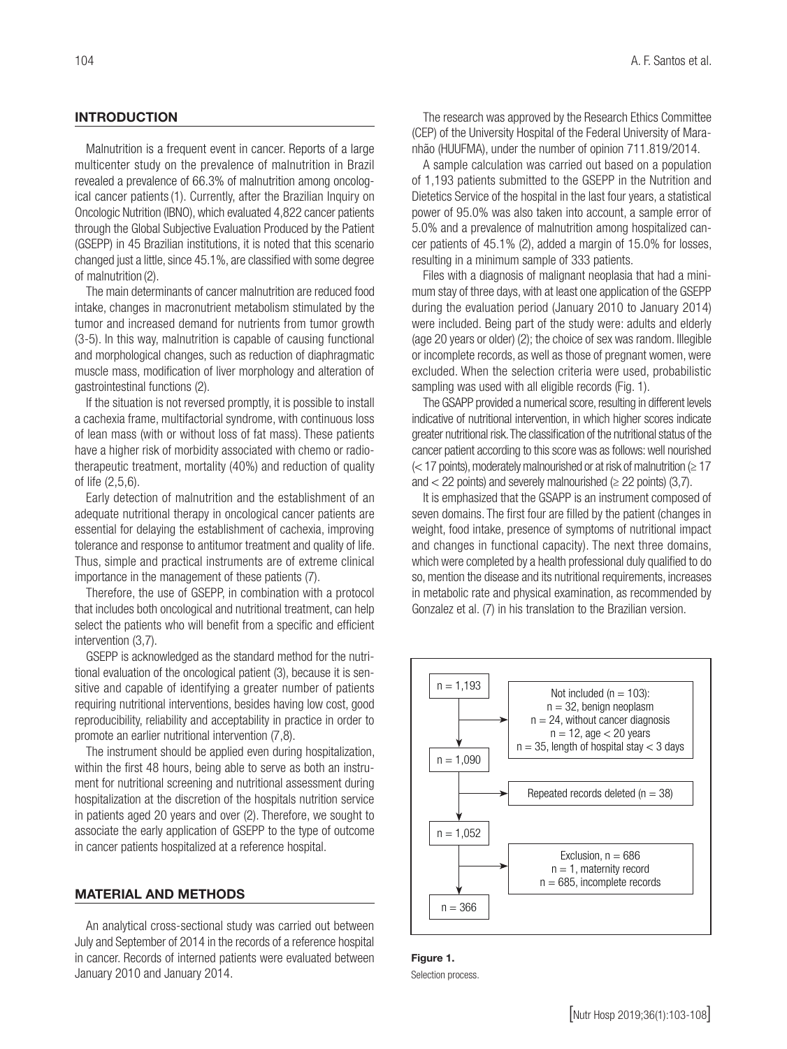### **INTRODUCTION**

Malnutrition is a frequent event in cancer. Reports of a large multicenter study on the prevalence of malnutrition in Brazil revealed a prevalence of 66.3% of malnutrition among oncological cancer patients(1). Currently, after the Brazilian Inquiry on Oncologic Nutrition (IBNO), which evaluated 4,822 cancer patients through the Global Subjective Evaluation Produced by the Patient (GSEPP) in 45 Brazilian institutions, it is noted that this scenario changed just a little, since 45.1%, are classified with some degree of malnutrition (2).

The main determinants of cancer malnutrition are reduced food intake, changes in macronutrient metabolism stimulated by the tumor and increased demand for nutrients from tumor growth (3-5). In this way, malnutrition is capable of causing functional and morphological changes, such as reduction of diaphragmatic muscle mass, modification of liver morphology and alteration of gastrointestinal functions (2).

If the situation is not reversed promptly, it is possible to install a cachexia frame, multifactorial syndrome, with continuous loss of lean mass (with or without loss of fat mass). These patients have a higher risk of morbidity associated with chemo or radiotherapeutic treatment, mortality (40%) and reduction of quality of life (2,5,6).

Early detection of malnutrition and the establishment of an adequate nutritional therapy in oncological cancer patients are essential for delaying the establishment of cachexia, improving tolerance and response to antitumor treatment and quality of life. Thus, simple and practical instruments are of extreme clinical importance in the management of these patients (7).

Therefore, the use of GSEPP, in combination with a protocol that includes both oncological and nutritional treatment, can help select the patients who will benefit from a specific and efficient intervention (3,7).

GSEPP is acknowledged as the standard method for the nutritional evaluation of the oncological patient (3), because it is sensitive and capable of identifying a greater number of patients requiring nutritional interventions, besides having low cost, good reproducibility, reliability and acceptability in practice in order to promote an earlier nutritional intervention (7,8).

The instrument should be applied even during hospitalization, within the first 48 hours, being able to serve as both an instrument for nutritional screening and nutritional assessment during hospitalization at the discretion of the hospitals nutrition service in patients aged 20 years and over (2). Therefore, we sought to associate the early application of GSEPP to the type of outcome in cancer patients hospitalized at a reference hospital.

#### MATERIAL AND METHODS

An analytical cross-sectional study was carried out between July and September of 2014 in the records of a reference hospital in cancer. Records of interned patients were evaluated between January 2010 and January 2014.

The research was approved by the Research Ethics Committee (CEP) of the University Hospital of the Federal University of Maranhão (HUUFMA), under the number of opinion 711.819/2014.

A sample calculation was carried out based on a population of 1,193 patients submitted to the GSEPP in the Nutrition and Dietetics Service of the hospital in the last four years, a statistical power of 95.0% was also taken into account, a sample error of 5.0% and a prevalence of malnutrition among hospitalized cancer patients of 45.1% (2), added a margin of 15.0% for losses, resulting in a minimum sample of 333 patients.

Files with a diagnosis of malignant neoplasia that had a minimum stay of three days, with at least one application of the GSEPP during the evaluation period (January 2010 to January 2014) were included. Being part of the study were: adults and elderly (age 20 years or older) (2); the choice of sex was random. Illegible or incomplete records, as well as those of pregnant women, were excluded. When the selection criteria were used, probabilistic sampling was used with all eligible records (Fig. 1).

The GSAPP provided a numerical score, resulting in different levels indicative of nutritional intervention, in which higher scores indicate greater nutritional risk. The classification of the nutritional status of the cancer patient according to this score was as follows: well nourished  $(<$  17 points), moderately malnourished or at risk of malnutrition ( $\ge$  17 and  $<$  22 points) and severely malnourished ( $\geq$  22 points) (3,7).

It is emphasized that the GSAPP is an instrument composed of seven domains. The first four are filled by the patient (changes in weight, food intake, presence of symptoms of nutritional impact and changes in functional capacity). The next three domains, which were completed by a health professional duly qualified to do so, mention the disease and its nutritional requirements, increases in metabolic rate and physical examination, as recommended by Gonzalez et al. (7) in his translation to the Brazilian version.



Figure 1. Selection process.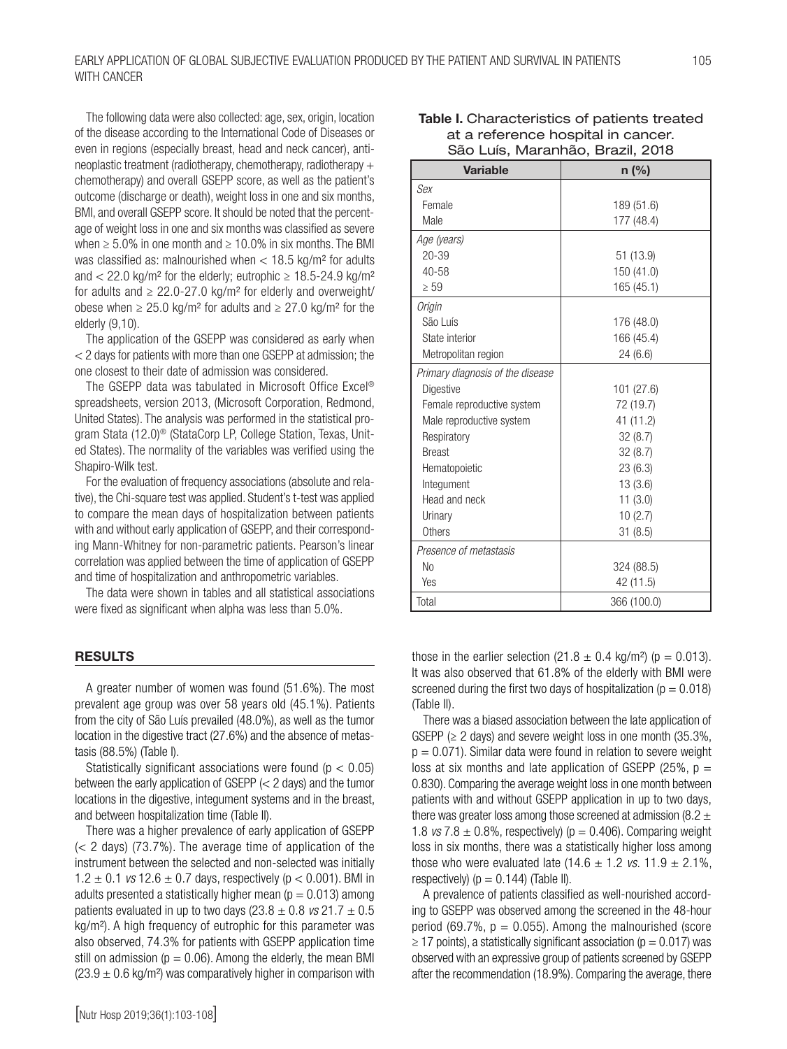#### EARLY APPLICATION OF GLOBAL SUBJECTIVE EVALUATION PRODUCED BY THE PATIENT AND SURVIVAL IN PATIENTS WITH CANCER

The following data were also collected: age, sex, origin, location of the disease according to the International Code of Diseases or even in regions (especially breast, head and neck cancer), antineoplastic treatment (radiotherapy, chemotherapy, radiotherapy + chemotherapy) and overall GSEPP score, as well as the patient's outcome (discharge or death), weight loss in one and six months, BMI, and overall GSEPP score. It should be noted that the percentage of weight loss in one and six months was classified as severe when  $\geq 5.0\%$  in one month and  $\geq 10.0\%$  in six months. The BMI was classified as: malnourished when < 18.5 kg/m² for adults and  $<$  22.0 kg/m<sup>2</sup> for the elderly; eutrophic  $\geq$  18.5-24.9 kg/m<sup>2</sup> for adults and  $\geq 22.0$ -27.0 kg/m<sup>2</sup> for elderly and overweight/ obese when ≥ 25.0 kg/m<sup>2</sup> for adults and ≥ 27.0 kg/m<sup>2</sup> for the elderly (9,10).

The application of the GSEPP was considered as early when < 2 days for patients with more than one GSEPP at admission; the one closest to their date of admission was considered.

The GSEPP data was tabulated in Microsoft Office Excel® spreadsheets, version 2013, (Microsoft Corporation, Redmond, United States). The analysis was performed in the statistical program Stata (12.0)® (StataCorp LP, College Station, Texas, United States). The normality of the variables was verified using the Shapiro-Wilk test.

For the evaluation of frequency associations (absolute and relative), the Chi-square test was applied. Student's t-test was applied to compare the mean days of hospitalization between patients with and without early application of GSEPP, and their corresponding Mann-Whitney for non-parametric patients. Pearson's linear correlation was applied between the time of application of GSEPP and time of hospitalization and anthropometric variables.

The data were shown in tables and all statistical associations were fixed as significant when alpha was less than 5.0%.

#### RESULTS

A greater number of women was found (51.6%). The most prevalent age group was over 58 years old (45.1%). Patients from the city of São Luís prevailed (48.0%), as well as the tumor location in the digestive tract (27.6%) and the absence of metastasis (88.5%) (Table I).

Statistically significant associations were found ( $p < 0.05$ ) between the early application of GSEPP (< 2 days) and the tumor locations in the digestive, integument systems and in the breast, and between hospitalization time (Table II).

There was a higher prevalence of early application of GSEPP (< 2 days) (73.7%). The average time of application of the instrument between the selected and non-selected was initially  $1.2 \pm 0.1$  *vs*  $12.6 \pm 0.7$  days, respectively ( $p < 0.001$ ). BMI in adults presented a statistically higher mean ( $p = 0.013$ ) among patients evaluated in up to two days  $(23.8 \pm 0.8 \text{ vs } 21.7 \pm 0.5$ kg/m²). A high frequency of eutrophic for this parameter was also observed, 74.3% for patients with GSEPP application time still on admission ( $p = 0.06$ ). Among the elderly, the mean BMI  $(23.9 \pm 0.6 \text{ kg/m}^2)$  was comparatively higher in comparison with

| <b>Variable</b>                  | $n$ (%)    |
|----------------------------------|------------|
| Sex                              |            |
| Female                           | 189 (51.6) |
| Male                             | 177 (48.4) |
| Age (years)                      |            |
| $20 - 39$                        | 51 (13.9)  |
| $40 - 58$                        | 150 (41.0) |
| $\geq 59$                        | 165 (45.1) |
| Origin                           |            |
| São Luís                         | 176 (48.0) |
| State interior                   | 166 (45.4) |
| Metropolitan region              | 24(6.6)    |
| Primary diagnosis of the disease |            |
| Digestive                        | 101(27.6)  |
| Female reproductive system       | 72 (19.7)  |
| Male reproductive system         | 41 (11.2)  |
| Respiratory                      | 32(8.7)    |
| <b>Breast</b>                    | 32(8.7)    |
| Hematopoietic                    | 23(6.3)    |
| Integument                       | 13(3.6)    |
| Head and neck                    | 11(3.0)    |
| Urinary                          | 10(2.7)    |
| Others                           | 31(8.5)    |

#### Table I. Characteristics of patients treated at a reference hospital in cancer. São Luís, Maranhão, Brazil, 2018

| those in the earlier selection $(21.8 \pm 0.4 \text{ kg/m}^2)$ (p = 0.013). |
|-----------------------------------------------------------------------------|
| It was also observed that 61.8% of the elderly with BMI were                |
| screened during the first two days of hospitalization ( $p = 0.018$ )       |
| (Table II).                                                                 |

Total 366 (100.0)

324 (88.5) 42 (11.5)

*Presence of metastasis*

No Yes

There was a biased association between the late application of GSEPP ( $\geq$  2 days) and severe weight loss in one month (35.3%,  $p = 0.071$ ). Similar data were found in relation to severe weight loss at six months and late application of GSEPP (25%,  $p =$ 0.830). Comparing the average weight loss in one month between patients with and without GSEPP application in up to two days, there was greater loss among those screened at admission (8.2  $\pm$ 1.8  $vs$  7.8  $\pm$  0.8%, respectively) ( $p = 0.406$ ). Comparing weight loss in six months, there was a statistically higher loss among those who were evaluated late  $(14.6 \pm 1.2 \text{ vs. } 11.9 \pm 2.1\%$ , respectively) ( $p = 0.144$ ) (Table II).

A prevalence of patients classified as well-nourished according to GSEPP was observed among the screened in the 48-hour period (69.7%,  $p = 0.055$ ). Among the malnourished (score  $\geq$  17 points), a statistically significant association ( $p = 0.017$ ) was observed with an expressive group of patients screened by GSEPP after the recommendation (18.9%). Comparing the average, there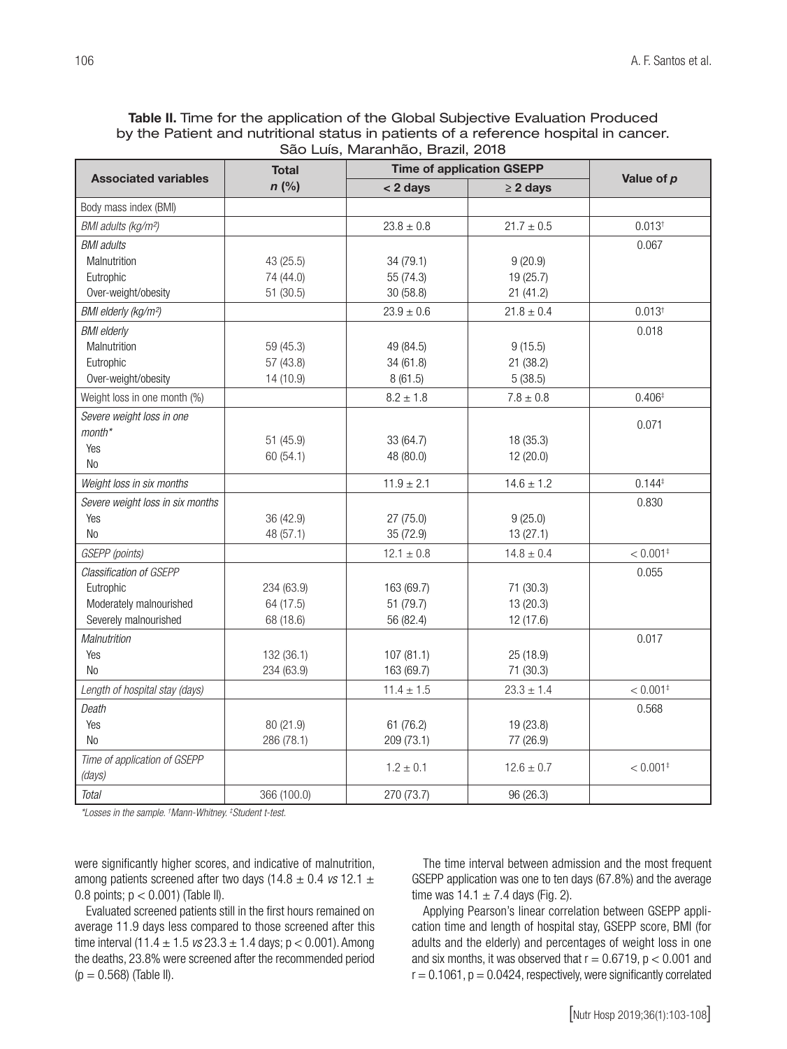Table II. Time for the application of the Global Subjective Evaluation Produced by the Patient and nutritional status in patients of a reference hospital in cancer. São Luís, Maranhão, Brazil, 2018

|                                  | <b>Total</b><br>$n$ (%) | <b>Time of application GSEPP</b> |                |                        |
|----------------------------------|-------------------------|----------------------------------|----------------|------------------------|
| <b>Associated variables</b>      |                         | < 2 days                         | $\geq$ 2 days  | Value of p             |
| Body mass index (BMI)            |                         |                                  |                |                        |
| BMI adults (kg/m <sup>2</sup> )  |                         | $23.8 \pm 0.8$                   | $21.7 \pm 0.5$ | $0.013^{+}$            |
| <b>BMI</b> adults                |                         |                                  |                | 0.067                  |
| Malnutrition                     | 43 (25.5)               | 34 (79.1)                        | 9(20.9)        |                        |
| Eutrophic                        | 74 (44.0)               | 55 (74.3)                        | 19 (25.7)      |                        |
| Over-weight/obesity              | 51(30.5)                | 30 (58.8)                        | 21(41.2)       |                        |
| BMI elderly (kg/m <sup>2</sup> ) |                         | $23.9 \pm 0.6$                   | $21.8 \pm 0.4$ | $0.013^{+}$            |
| <b>BMI</b> elderly               |                         |                                  |                | 0.018                  |
| Malnutrition                     | 59 (45.3)               | 49 (84.5)                        | 9(15.5)        |                        |
| Eutrophic                        | 57 (43.8)               | 34 (61.8)                        | 21 (38.2)      |                        |
| Over-weight/obesity              | 14 (10.9)               | 8(61.5)                          | 5(38.5)        |                        |
| Weight loss in one month (%)     |                         | $8.2 \pm 1.8$                    | $7.8 \pm 0.8$  | $0.406*$               |
| Severe weight loss in one        |                         |                                  |                | 0.071                  |
| month*                           | 51(45.9)                | 33 (64.7)                        | 18 (35.3)      |                        |
| Yes                              | 60 (54.1)               | 48 (80.0)                        | 12 (20.0)      |                        |
| <b>No</b>                        |                         |                                  |                |                        |
| Weight loss in six months        |                         | $11.9 \pm 2.1$                   | $14.6 \pm 1.2$ | $0.144*$               |
| Severe weight loss in six months |                         |                                  |                | 0.830                  |
| Yes                              | 36 (42.9)               | 27(75.0)                         | 9(25.0)        |                        |
| N <sub>0</sub>                   | 48 (57.1)               | 35 (72.9)                        | 13(27.1)       |                        |
| GSEPP (points)                   |                         | $12.1 \pm 0.8$                   | $14.8 \pm 0.4$ | $< 0.001$ <sup>‡</sup> |
| Classification of GSEPP          |                         |                                  |                | 0.055                  |
| Eutrophic                        | 234 (63.9)              | 163 (69.7)                       | 71 (30.3)      |                        |
| Moderately malnourished          | 64 (17.5)               | 51 (79.7)                        | 13 (20.3)      |                        |
| Severely malnourished            | 68 (18.6)               | 56 (82.4)                        | 12 (17.6)      |                        |
| Malnutrition                     |                         |                                  |                | 0.017                  |
| Yes                              | 132 (36.1)              | 107(81.1)                        | 25 (18.9)      |                        |
| <b>No</b>                        | 234 (63.9)              | 163 (69.7)                       | 71 (30.3)      |                        |
| Length of hospital stay (days)   |                         | $11.4 \pm 1.5$                   | $23.3 \pm 1.4$ | $< 0.001$ <sup>‡</sup> |
| Death                            |                         |                                  |                | 0.568                  |
| Yes                              | 80 (21.9)               | 61(76.2)                         | 19 (23.8)      |                        |
| <b>No</b>                        | 286 (78.1)              | 209 (73.1)                       | 77 (26.9)      |                        |
| Time of application of GSEPP     |                         |                                  |                | $< 0.001$ <sup>‡</sup> |
| (days)                           |                         | $1.2 \pm 0.1$                    | $12.6 \pm 0.7$ |                        |
| Total                            | 366 (100.0)             | 270 (73.7)                       | 96 (26.3)      |                        |

*\*Losses in the sample. † Mann-Whitney. ‡ Student t-test.*

were significantly higher scores, and indicative of malnutrition, among patients screened after two days (14.8 ± 0.4 *vs* 12.1 ± 0.8 points;  $p < 0.001$ ) (Table II).

Evaluated screened patients still in the first hours remained on average 11.9 days less compared to those screened after this time interval  $(11.4 \pm 1.5 \text{ vs } 23.3 \pm 1.4 \text{ days}; p < 0.001)$ . Among the deaths, 23.8% were screened after the recommended period  $(p = 0.568)$  (Table II).

The time interval between admission and the most frequent GSEPP application was one to ten days (67.8%) and the average time was  $14.1 \pm 7.4$  days (Fig. 2).

Applying Pearson's linear correlation between GSEPP application time and length of hospital stay, GSEPP score, BMI (for adults and the elderly) and percentages of weight loss in one and six months, it was observed that  $r = 0.6719$ ,  $p < 0.001$  and  $r = 0.1061$ ,  $p = 0.0424$ , respectively, were significantly correlated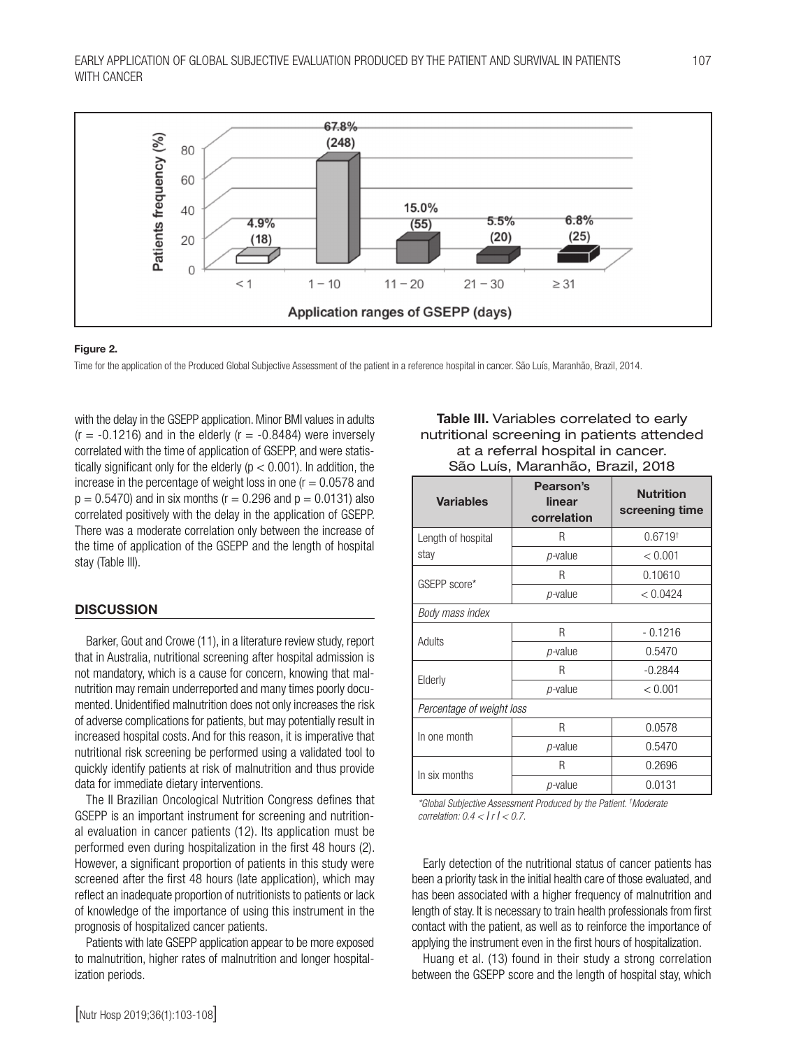

#### Figure 2.

Time for the application of the Produced Global Subjective Assessment of the patient in a reference hospital in cancer. São Luís, Maranhão, Brazil, 2014.

with the delay in the GSEPP application. Minor BMI values in adults  $(r = -0.1216)$  and in the elderly  $(r = -0.8484)$  were inversely correlated with the time of application of GSEPP, and were statistically significant only for the elderly ( $p < 0.001$ ). In addition, the increase in the percentage of weight loss in one  $(r = 0.0578$  and  $p = 0.5470$ ) and in six months ( $r = 0.296$  and  $p = 0.0131$ ) also correlated positively with the delay in the application of GSEPP. There was a moderate correlation only between the increase of the time of application of the GSEPP and the length of hospital stay (Table III).

#### **DISCUSSION**

Barker, Gout and Crowe (11), in a literature review study, report that in Australia, nutritional screening after hospital admission is not mandatory, which is a cause for concern, knowing that malnutrition may remain underreported and many times poorly documented. Unidentified malnutrition does not only increases the risk of adverse complications for patients, but may potentially result in increased hospital costs. And for this reason, it is imperative that nutritional risk screening be performed using a validated tool to quickly identify patients at risk of malnutrition and thus provide data for immediate dietary interventions.

The II Brazilian Oncological Nutrition Congress defines that GSEPP is an important instrument for screening and nutritional evaluation in cancer patients (12). Its application must be performed even during hospitalization in the first 48 hours (2). However, a significant proportion of patients in this study were screened after the first 48 hours (late application), which may reflect an inadequate proportion of nutritionists to patients or lack of knowledge of the importance of using this instrument in the prognosis of hospitalized cancer patients.

Patients with late GSEPP application appear to be more exposed to malnutrition, higher rates of malnutrition and longer hospitalization periods.

#### Table III. Variables correlated to early nutritional screening in patients attended at a referral hospital in cancer. São Luís, Maranhão, Brazil, 2018

| <b>Variables</b>          | Pearson's<br>linear<br>correlation | <b>Nutrition</b><br>screening time |  |  |  |
|---------------------------|------------------------------------|------------------------------------|--|--|--|
| Length of hospital        | R                                  | $0.6719$ <sup>†</sup>              |  |  |  |
| stay                      | <i>p</i> -value                    | < 0.001                            |  |  |  |
| GSEPP score*              | R                                  | 0.10610                            |  |  |  |
|                           | <i>p</i> -value                    | < 0.0424                           |  |  |  |
| Body mass index           |                                    |                                    |  |  |  |
| Adults                    | R                                  | $-0.1216$                          |  |  |  |
|                           | <i>p</i> -value                    | 0.5470                             |  |  |  |
| Elderly                   | R                                  | $-0.2844$                          |  |  |  |
|                           | <i>p</i> -value                    | < 0.001                            |  |  |  |
| Percentage of weight loss |                                    |                                    |  |  |  |
| In one month              | R                                  | 0.0578                             |  |  |  |
|                           | <i>p</i> -value                    | 0.5470                             |  |  |  |
| In six months             | R                                  | 0.2696                             |  |  |  |
|                           | <i>p</i> -value                    | 0.0131                             |  |  |  |

*\*Global Subjective Assessment Produced by the Patient. † Moderate correlation: 0.4 <* ∣ *r* ∣ *< 0.7.*

Early detection of the nutritional status of cancer patients has been a priority task in the initial health care of those evaluated, and has been associated with a higher frequency of malnutrition and length of stay. It is necessary to train health professionals from first contact with the patient, as well as to reinforce the importance of applying the instrument even in the first hours of hospitalization.

Huang et al. (13) found in their study a strong correlation between the GSEPP score and the length of hospital stay, which